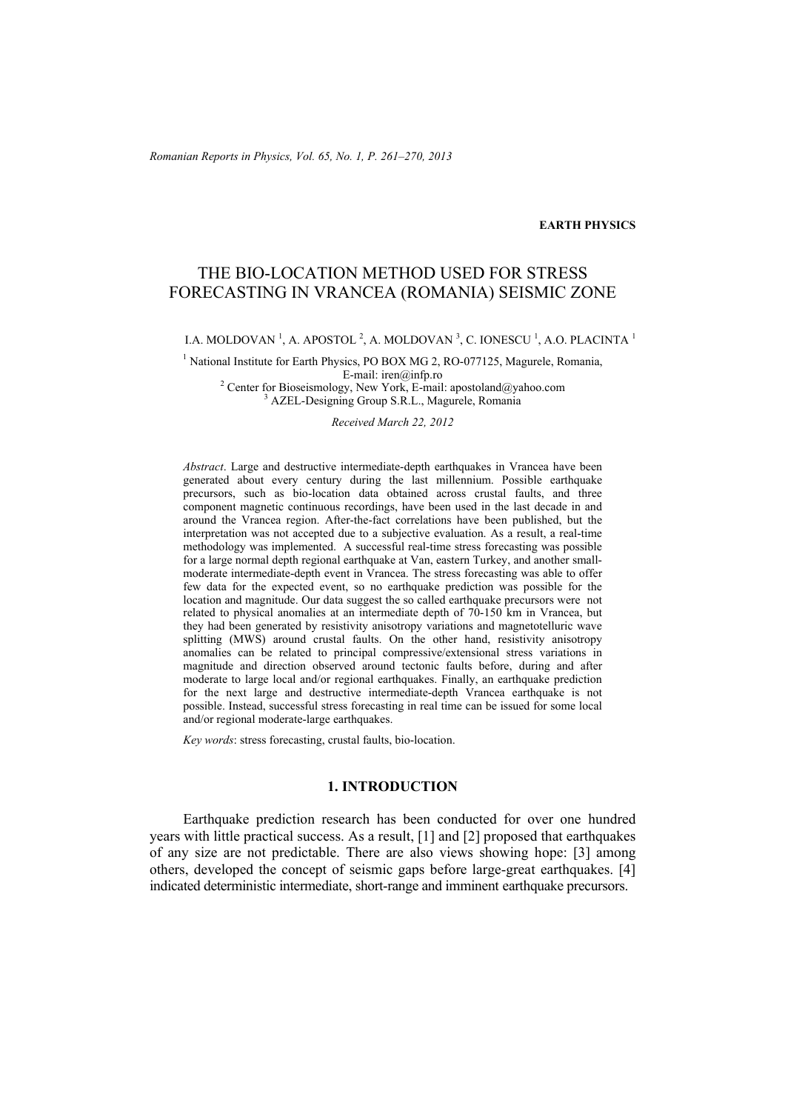*Romanian Reports in Physics, Vol. 65, No. 1, P. 261–270, 2013*

## **EARTH PHYSICS**

# THE BIO-LOCATION METHOD USED FOR STRESS FORECASTING IN VRANCEA (ROMANIA) SEISMIC ZONE

## I.A. MOLDOVAN  $^{1}$ , A. APOSTOL  $^{2}$ , A. MOLDOVAN  $^{3}$ , C. IONESCU  $^{1}$ , A.O. PLACINTA  $^{1}$

<sup>1</sup> National Institute for Earth Physics, PO BOX MG 2, RO-077125, Magurele, Romania,  $E$ -mail: iren@infp.ro<br><sup>2</sup> Center for Bioseismology, New York, E-mail:

Center for Bioseismology, New York, E-mail: apostoland@yahoo.com  $\frac{3}{2}$   $\Lambda$  ZEL, Designing Group S B L. Mogurals Bomanis AZEL-Designing Group S.R.L., Magurele, Romania

#### *Received March 22, 2012*

*Abstract*. Large and destructive intermediate-depth earthquakes in Vrancea have been generated about every century during the last millennium. Possible earthquake precursors, such as bio-location data obtained across crustal faults, and three component magnetic continuous recordings, have been used in the last decade in and around the Vrancea region. After-the-fact correlations have been published, but the interpretation was not accepted due to a subjective evaluation. As a result, a real-time methodology was implemented. A successful real-time stress forecasting was possible for a large normal depth regional earthquake at Van, eastern Turkey, and another smallmoderate intermediate-depth event in Vrancea. The stress forecasting was able to offer few data for the expected event, so no earthquake prediction was possible for the location and magnitude. Our data suggest the so called earthquake precursors were not related to physical anomalies at an intermediate depth of 70-150 km in Vrancea, but they had been generated by resistivity anisotropy variations and magnetotelluric wave splitting (MWS) around crustal faults. On the other hand, resistivity anisotropy anomalies can be related to principal compressive/extensional stress variations in magnitude and direction observed around tectonic faults before, during and after moderate to large local and/or regional earthquakes. Finally, an earthquake prediction for the next large and destructive intermediate-depth Vrancea earthquake is not possible. Instead, successful stress forecasting in real time can be issued for some local and/or regional moderate-large earthquakes.

*Key words*: stress forecasting, crustal faults, bio-location.

## **1. INTRODUCTION**

Earthquake prediction research has been conducted for over one hundred years with little practical success. As a result, [1] and [2] proposed that earthquakes of any size are not predictable. There are also views showing hope: [3] among others, developed the concept of seismic gaps before large-great earthquakes. [4] indicated deterministic intermediate, short-range and imminent earthquake precursors.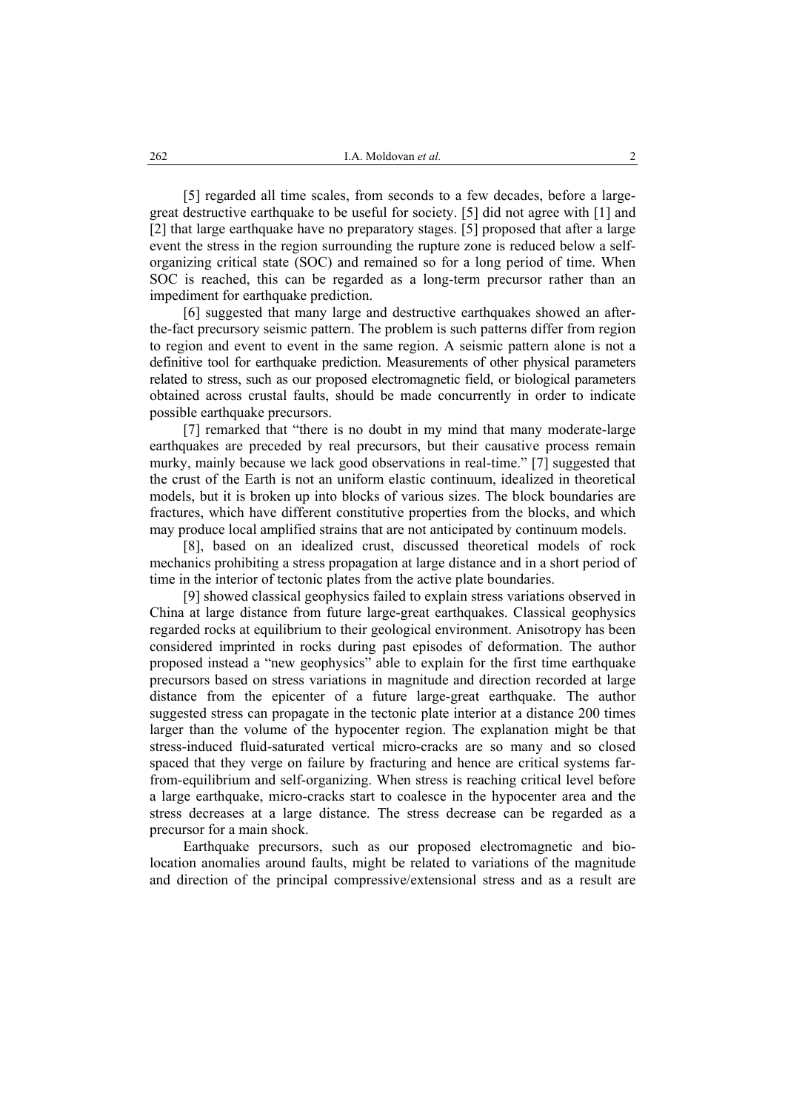[5] regarded all time scales, from seconds to a few decades, before a largegreat destructive earthquake to be useful for society. [5] did not agree with [1] and [2] that large earthquake have no preparatory stages. [5] proposed that after a large event the stress in the region surrounding the rupture zone is reduced below a selforganizing critical state (SOC) and remained so for a long period of time. When SOC is reached, this can be regarded as a long-term precursor rather than an impediment for earthquake prediction.

[6] suggested that many large and destructive earthquakes showed an afterthe-fact precursory seismic pattern. The problem is such patterns differ from region to region and event to event in the same region. A seismic pattern alone is not a definitive tool for earthquake prediction. Measurements of other physical parameters related to stress, such as our proposed electromagnetic field, or biological parameters obtained across crustal faults, should be made concurrently in order to indicate possible earthquake precursors.

[7] remarked that "there is no doubt in my mind that many moderate-large earthquakes are preceded by real precursors, but their causative process remain murky, mainly because we lack good observations in real-time." [7] suggested that the crust of the Earth is not an uniform elastic continuum, idealized in theoretical models, but it is broken up into blocks of various sizes. The block boundaries are fractures, which have different constitutive properties from the blocks, and which may produce local amplified strains that are not anticipated by continuum models.

[8], based on an idealized crust, discussed theoretical models of rock mechanics prohibiting a stress propagation at large distance and in a short period of time in the interior of tectonic plates from the active plate boundaries.

[9] showed classical geophysics failed to explain stress variations observed in China at large distance from future large-great earthquakes. Classical geophysics regarded rocks at equilibrium to their geological environment. Anisotropy has been considered imprinted in rocks during past episodes of deformation. The author proposed instead a "new geophysics" able to explain for the first time earthquake precursors based on stress variations in magnitude and direction recorded at large distance from the epicenter of a future large-great earthquake. The author suggested stress can propagate in the tectonic plate interior at a distance 200 times larger than the volume of the hypocenter region. The explanation might be that stress-induced fluid-saturated vertical micro-cracks are so many and so closed spaced that they verge on failure by fracturing and hence are critical systems farfrom-equilibrium and self-organizing. When stress is reaching critical level before a large earthquake, micro-cracks start to coalesce in the hypocenter area and the stress decreases at a large distance. The stress decrease can be regarded as a precursor for a main shock.

Earthquake precursors, such as our proposed electromagnetic and biolocation anomalies around faults, might be related to variations of the magnitude and direction of the principal compressive/extensional stress and as a result are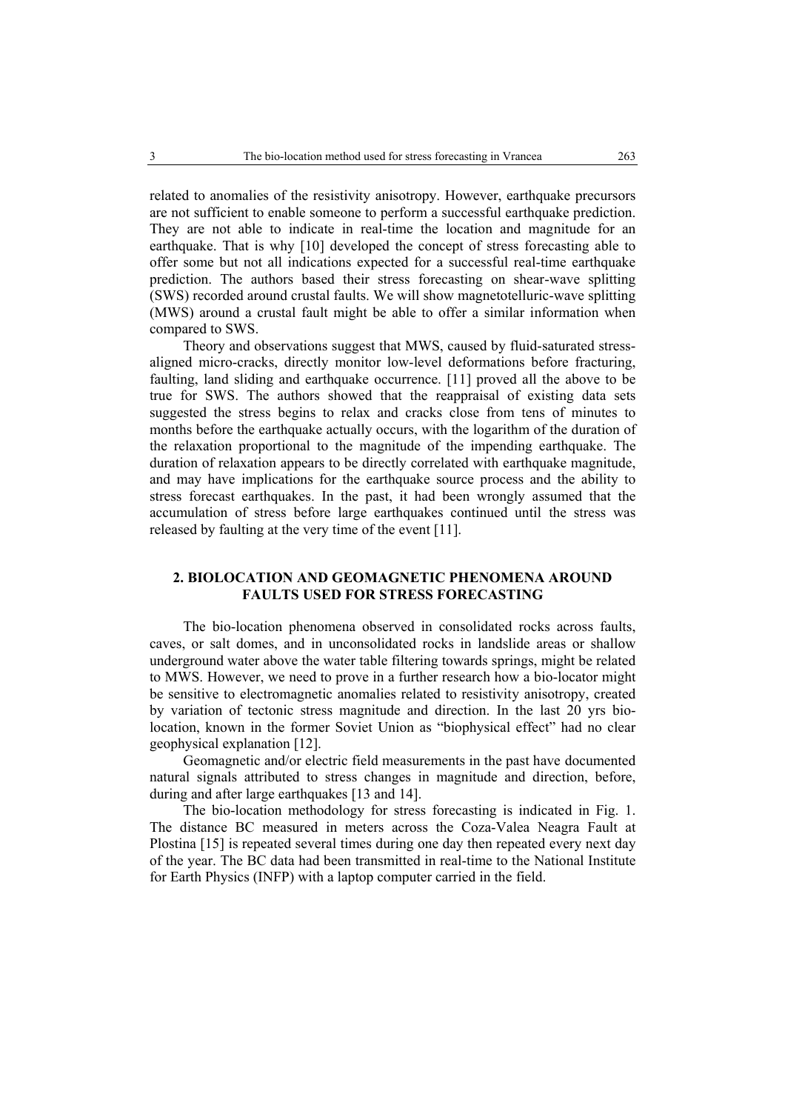related to anomalies of the resistivity anisotropy. However, earthquake precursors are not sufficient to enable someone to perform a successful earthquake prediction. They are not able to indicate in real-time the location and magnitude for an earthquake. That is why [10] developed the concept of stress forecasting able to offer some but not all indications expected for a successful real-time earthquake prediction. The authors based their stress forecasting on shear-wave splitting (SWS) recorded around crustal faults. We will show magnetotelluric-wave splitting (MWS) around a crustal fault might be able to offer a similar information when compared to SWS.

Theory and observations suggest that MWS, caused by fluid-saturated stressaligned micro-cracks, directly monitor low-level deformations before fracturing, faulting, land sliding and earthquake occurrence. [11] proved all the above to be true for SWS. The authors showed that the reappraisal of existing data sets suggested the stress begins to relax and cracks close from tens of minutes to months before the earthquake actually occurs, with the logarithm of the duration of the relaxation proportional to the magnitude of the impending earthquake. The duration of relaxation appears to be directly correlated with earthquake magnitude, and may have implications for the earthquake source process and the ability to stress forecast earthquakes. In the past, it had been wrongly assumed that the accumulation of stress before large earthquakes continued until the stress was released by faulting at the very time of the event [11].

## **2. BIOLOCATION AND GEOMAGNETIC PHENOMENA AROUND FAULTS USED FOR STRESS FORECASTING**

The bio-location phenomena observed in consolidated rocks across faults, caves, or salt domes, and in unconsolidated rocks in landslide areas or shallow underground water above the water table filtering towards springs, might be related to MWS. However, we need to prove in a further research how a bio-locator might be sensitive to electromagnetic anomalies related to resistivity anisotropy, created by variation of tectonic stress magnitude and direction. In the last 20 yrs biolocation, known in the former Soviet Union as "biophysical effect" had no clear geophysical explanation [12].

Geomagnetic and/or electric field measurements in the past have documented natural signals attributed to stress changes in magnitude and direction, before, during and after large earthquakes [13 and 14].

The bio-location methodology for stress forecasting is indicated in Fig. 1. The distance BC measured in meters across the Coza-Valea Neagra Fault at Plostina [15] is repeated several times during one day then repeated every next day of the year. The BC data had been transmitted in real-time to the National Institute for Earth Physics (INFP) with a laptop computer carried in the field.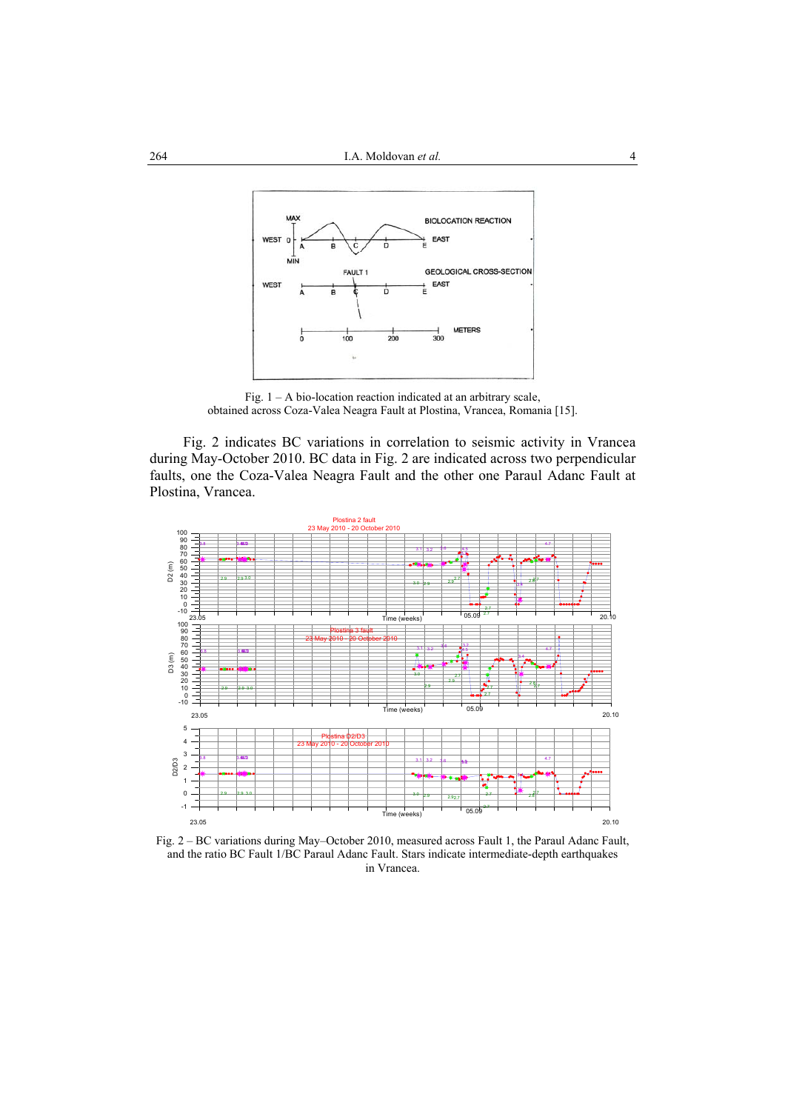

Fig.  $1 - A$  bio-location reaction indicated at an arbitrary scale, obtained across Coza-Valea Neagra Fault at Plostina, Vrancea, Romania [15].

Fig. 2 indicates BC variations in correlation to seismic activity in Vrancea during May-October 2010. BC data in Fig. 2 are indicated across two perpendicular faults, one the Coza-Valea Neagra Fault and the other one Paraul Adanc Fault at Plostina, Vrancea.



Fig. 2 – BC variations during May–October 2010, measured across Fault 1, the Paraul Adanc Fault, and the ratio BC Fault 1/BC Paraul Adanc Fault. Stars indicate intermediate-depth earthquakes in Vrancea.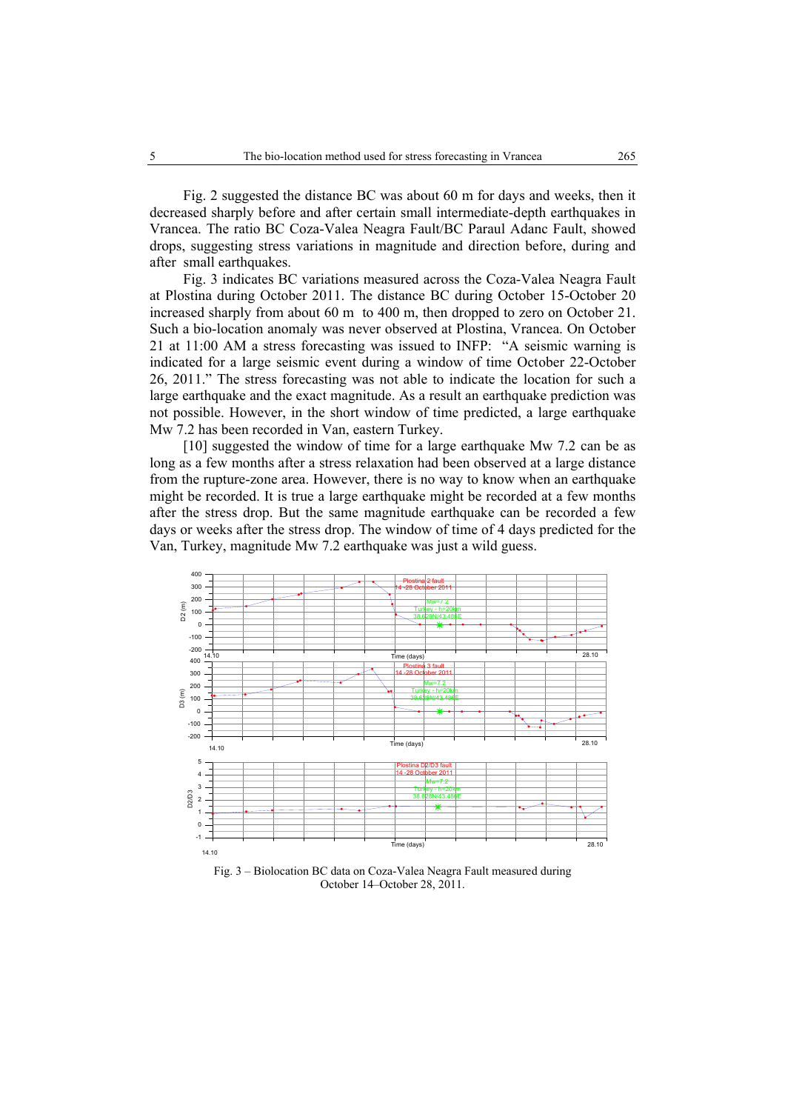Fig. 2 suggested the distance BC was about 60 m for days and weeks, then it decreased sharply before and after certain small intermediate-depth earthquakes in Vrancea. The ratio BC Coza-Valea Neagra Fault/BC Paraul Adanc Fault, showed drops, suggesting stress variations in magnitude and direction before, during and after small earthquakes.

Fig. 3 indicates BC variations measured across the Coza-Valea Neagra Fault at Plostina during October 2011. The distance BC during October 15-October 20 increased sharply from about 60 m to 400 m, then dropped to zero on October 21. Such a bio-location anomaly was never observed at Plostina, Vrancea. On October 21 at 11:00 AM a stress forecasting was issued to INFP: "A seismic warning is indicated for a large seismic event during a window of time October 22-October 26, 2011." The stress forecasting was not able to indicate the location for such a large earthquake and the exact magnitude. As a result an earthquake prediction was not possible. However, in the short window of time predicted, a large earthquake Mw 7.2 has been recorded in Van, eastern Turkey.

[10] suggested the window of time for a large earthquake Mw 7.2 can be as long as a few months after a stress relaxation had been observed at a large distance from the rupture-zone area. However, there is no way to know when an earthquake might be recorded. It is true a large earthquake might be recorded at a few months after the stress drop. But the same magnitude earthquake can be recorded a few days or weeks after the stress drop. The window of time of 4 days predicted for the Van, Turkey, magnitude Mw 7.2 earthquake was just a wild guess.



Fig. 3 – Biolocation BC data on Coza-Valea Neagra Fault measured during October 14–October 28, 2011.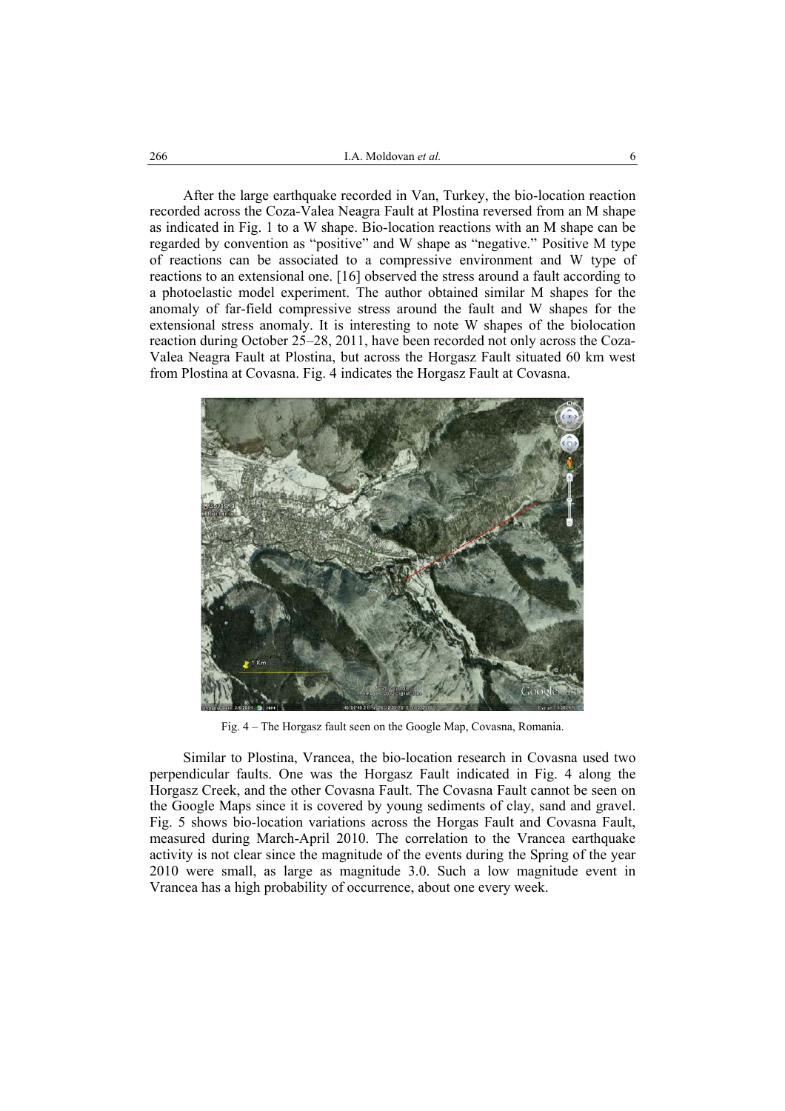After the large earthquake recorded in Van, Turkey, the bio-location reaction recorded across the Coza-Valea Neagra Fault at Plostina reversed from an M shape as indicated in Fig. 1 to a W shape. Bio-location reactions with an M shape can be regarded by convention as "positive" and W shape as "negative." Positive M type of reactions can be associated to a compressive environment and W type of reactions to an extensional one. [16] observed the stress around a fault according to a photoelastic model experiment. The author obtained similar M shapes for the anomaly of far-field compressive stress around the fault and W shapes for the extensional stress anomaly. It is interesting to note W shapes of the biolocation reaction during October 25–28, 2011, have been recorded not only across the Coza-Valea Neagra Fault at Plostina, but across the Horgasz Fault situated 60 km west from Plostina at Covasna. Fig. 4 indicates the Horgasz Fault at Covasna.



Fig. 4 – The Horgasz fault seen on the Google Map, Covasna, Romania.

Similar to Plostina, Vrancea, the bio-location research in Covasna used two perpendicular faults. One was the Horgasz Fault indicated in Fig. 4 along the Horgasz Creek, and the other Covasna Fault. The Covasna Fault cannot be seen on the Google Maps since it is covered by young sediments of clay, sand and gravel. Fig. 5 shows bio-location variations across the Horgas Fault and Covasna Fault, measured during March-April 2010. The correlation to the Vrancea earthquake activity is not clear since the magnitude of the events during the Spring of the year 2010 were small, as large as magnitude 3.0. Such a low magnitude event in Vrancea has a high probability of occurrence, about one every week.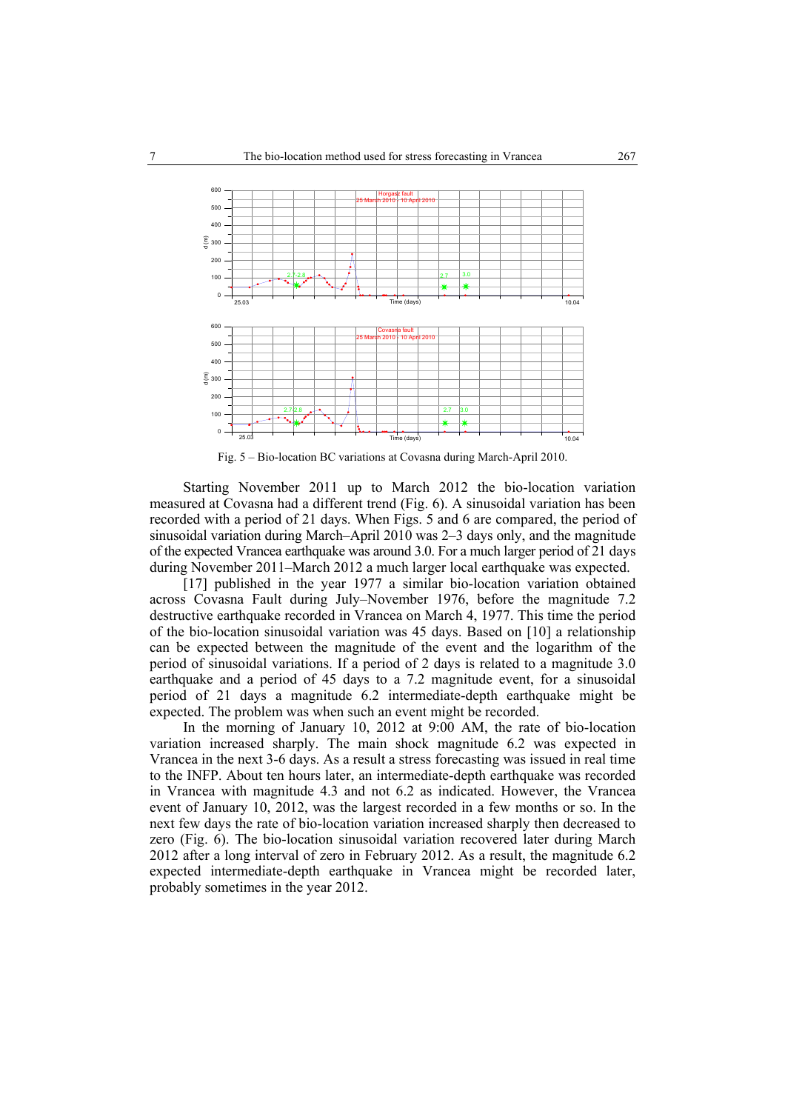

Fig. 5 – Bio-location BC variations at Covasna during March-April 2010.

Starting November 2011 up to March 2012 the bio-location variation measured at Covasna had a different trend (Fig. 6). A sinusoidal variation has been recorded with a period of 21 days. When Figs. 5 and 6 are compared, the period of sinusoidal variation during March–April 2010 was 2–3 days only, and the magnitude of the expected Vrancea earthquake was around 3.0. For a much larger period of 21 days during November 2011–March 2012 a much larger local earthquake was expected.

[17] published in the year 1977 a similar bio-location variation obtained across Covasna Fault during July–November 1976, before the magnitude 7.2 destructive earthquake recorded in Vrancea on March 4, 1977. This time the period of the bio-location sinusoidal variation was 45 days. Based on [10] a relationship can be expected between the magnitude of the event and the logarithm of the period of sinusoidal variations. If a period of 2 days is related to a magnitude 3.0 earthquake and a period of 45 days to a 7.2 magnitude event, for a sinusoidal period of 21 days a magnitude 6.2 intermediate-depth earthquake might be expected. The problem was when such an event might be recorded.

In the morning of January 10, 2012 at 9:00 AM, the rate of bio-location variation increased sharply. The main shock magnitude 6.2 was expected in Vrancea in the next 3-6 days. As a result a stress forecasting was issued in real time to the INFP. About ten hours later, an intermediate-depth earthquake was recorded in Vrancea with magnitude 4.3 and not 6.2 as indicated. However, the Vrancea event of January 10, 2012, was the largest recorded in a few months or so. In the next few days the rate of bio-location variation increased sharply then decreased to zero (Fig. 6). The bio-location sinusoidal variation recovered later during March 2012 after a long interval of zero in February 2012. As a result, the magnitude 6.2 expected intermediate-depth earthquake in Vrancea might be recorded later, probably sometimes in the year 2012.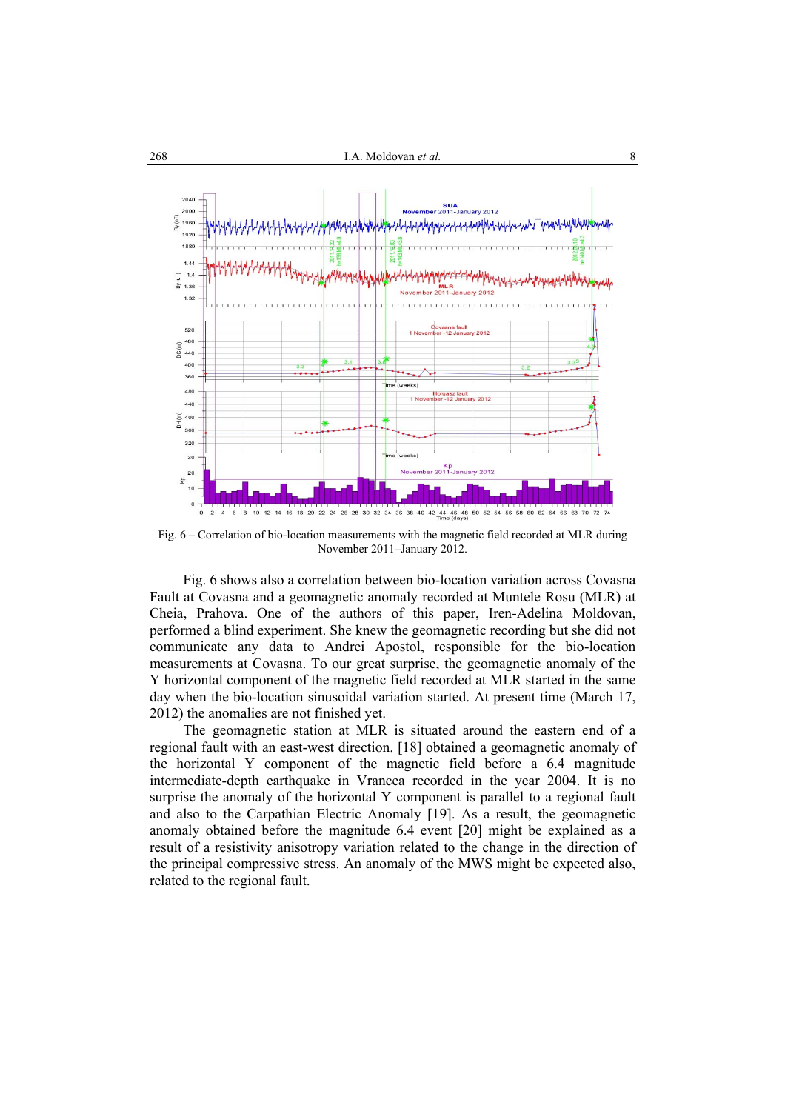

Fig. 6 – Correlation of bio-location measurements with the magnetic field recorded at MLR during November 2011–January 2012.

Fig. 6 shows also a correlation between bio-location variation across Covasna Fault at Covasna and a geomagnetic anomaly recorded at Muntele Rosu (MLR) at Cheia, Prahova. One of the authors of this paper, Iren-Adelina Moldovan, performed a blind experiment. She knew the geomagnetic recording but she did not communicate any data to Andrei Apostol, responsible for the bio-location measurements at Covasna. To our great surprise, the geomagnetic anomaly of the Y horizontal component of the magnetic field recorded at MLR started in the same day when the bio-location sinusoidal variation started. At present time (March 17, 2012) the anomalies are not finished yet.

The geomagnetic station at MLR is situated around the eastern end of a regional fault with an east-west direction. [18] obtained a geomagnetic anomaly of the horizontal Y component of the magnetic field before a 6.4 magnitude intermediate-depth earthquake in Vrancea recorded in the year 2004. It is no surprise the anomaly of the horizontal Y component is parallel to a regional fault and also to the Carpathian Electric Anomaly [19]. As a result, the geomagnetic anomaly obtained before the magnitude 6.4 event [20] might be explained as a result of a resistivity anisotropy variation related to the change in the direction of the principal compressive stress. An anomaly of the MWS might be expected also, related to the regional fault.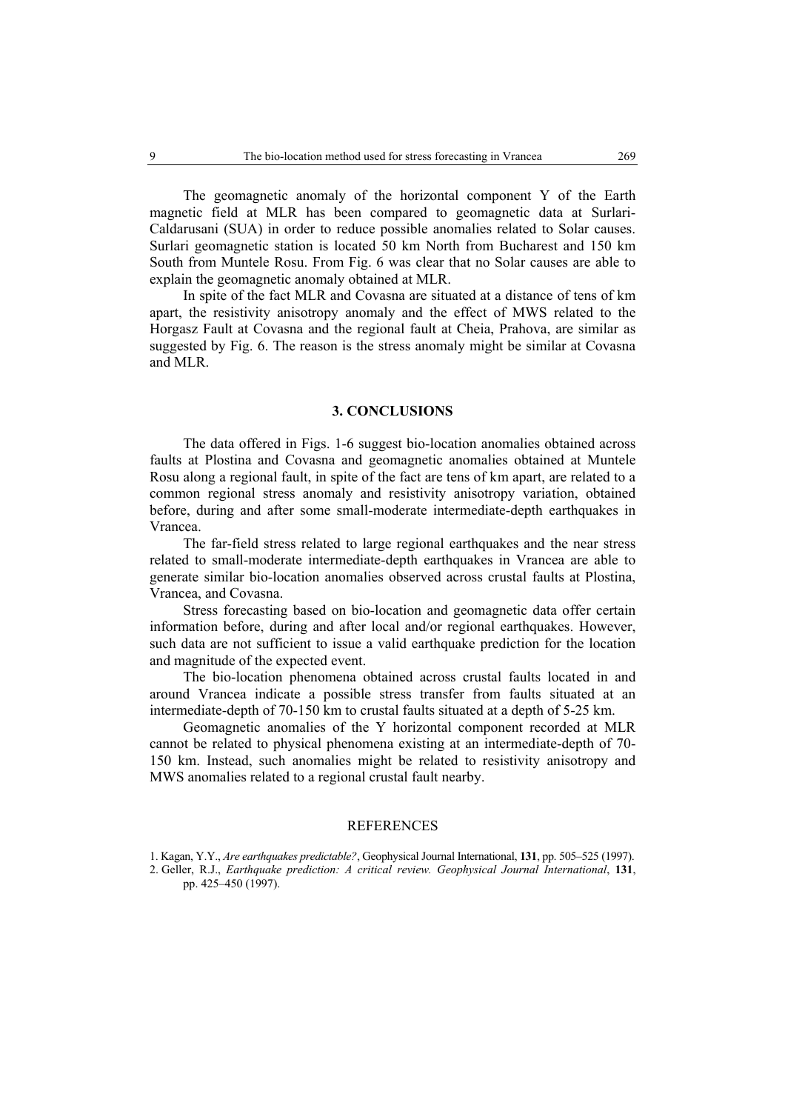The geomagnetic anomaly of the horizontal component Y of the Earth magnetic field at MLR has been compared to geomagnetic data at Surlari-Caldarusani (SUA) in order to reduce possible anomalies related to Solar causes. Surlari geomagnetic station is located 50 km North from Bucharest and 150 km South from Muntele Rosu. From Fig. 6 was clear that no Solar causes are able to explain the geomagnetic anomaly obtained at MLR.

In spite of the fact MLR and Covasna are situated at a distance of tens of km apart, the resistivity anisotropy anomaly and the effect of MWS related to the Horgasz Fault at Covasna and the regional fault at Cheia, Prahova, are similar as suggested by Fig. 6. The reason is the stress anomaly might be similar at Covasna and MLR.

### **3. CONCLUSIONS**

The data offered in Figs. 1-6 suggest bio-location anomalies obtained across faults at Plostina and Covasna and geomagnetic anomalies obtained at Muntele Rosu along a regional fault, in spite of the fact are tens of km apart, are related to a common regional stress anomaly and resistivity anisotropy variation, obtained before, during and after some small-moderate intermediate-depth earthquakes in Vrancea.

The far-field stress related to large regional earthquakes and the near stress related to small-moderate intermediate-depth earthquakes in Vrancea are able to generate similar bio-location anomalies observed across crustal faults at Plostina, Vrancea, and Covasna.

Stress forecasting based on bio-location and geomagnetic data offer certain information before, during and after local and/or regional earthquakes. However, such data are not sufficient to issue a valid earthquake prediction for the location and magnitude of the expected event.

The bio-location phenomena obtained across crustal faults located in and around Vrancea indicate a possible stress transfer from faults situated at an intermediate-depth of 70-150 km to crustal faults situated at a depth of 5-25 km.

Geomagnetic anomalies of the Y horizontal component recorded at MLR cannot be related to physical phenomena existing at an intermediate-depth of 70- 150 km. Instead, such anomalies might be related to resistivity anisotropy and MWS anomalies related to a regional crustal fault nearby.

#### REFERENCES

<sup>1.</sup> Kagan, Y.Y., *Are earthquakes predictable?*, Geophysical Journal International, **131**, pp. 505–525 (1997).

<sup>2.</sup> Geller, R.J., *Earthquake prediction: A critical review. Geophysical Journal International*, **131**, pp. 425–450 (1997).